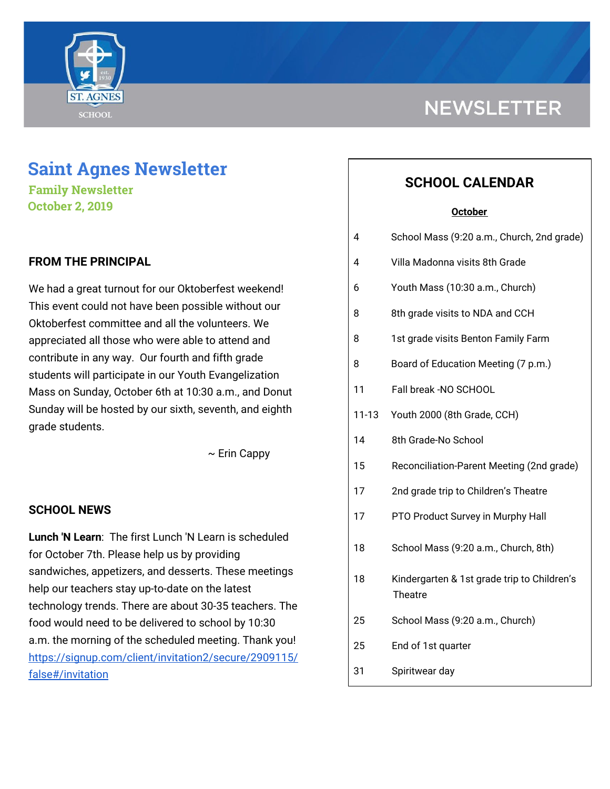

# **Saint Agnes Newsletter**

**Family Newsletter October 2, 2019**

## **FROM THE PRINCIPAL**

We had a great turnout for our Oktoberfest weekend! This event could not have been possible without our Oktoberfest committee and all the volunteers. We appreciated all those who were able to attend and contribute in any way. Our fourth and fifth grade students will participate in our Youth Evangelization Mass on Sunday, October 6th at 10:30 a.m., and Donut Sunday will be hosted by our sixth, seventh, and eighth grade students.

 $\sim$  Erin Cappy

## **SCHOOL NEWS**

**Lunch 'N Learn**: The first Lunch 'N Learn is scheduled for October 7th. Please help us by providing sandwiches, appetizers, and desserts. These meetings help our teachers stay up-to-date on the latest technology trends. There are about 30-35 teachers. The food would need to be delivered to school by 10:30 a.m. the morning of the scheduled meeting. Thank you! [https://signup.com/client/invitation2/secure/2909115/](https://signup.com/client/invitation2/secure/2909115/false#/invitation) [false#/invitation](https://signup.com/client/invitation2/secure/2909115/false#/invitation)

# **NEWSLETTER**

# **SCHOOL CALENDAR**

#### **October**

| 4         | School Mass (9:20 a.m., Church, 2nd grade)             |
|-----------|--------------------------------------------------------|
| 4         | Villa Madonna visits 8th Grade                         |
| 6         | Youth Mass (10:30 a.m., Church)                        |
| 8         | 8th grade visits to NDA and CCH                        |
| 8         | 1st grade visits Benton Family Farm                    |
| 8         | Board of Education Meeting (7 p.m.)                    |
| 11        | Fall break -NO SCHOOL                                  |
| $11 - 13$ | Youth 2000 (8th Grade, CCH)                            |
| 14        | 8th Grade-No School                                    |
| 15        | Reconciliation-Parent Meeting (2nd grade)              |
| 17        | 2nd grade trip to Children's Theatre                   |
| 17        | PTO Product Survey in Murphy Hall                      |
| 18        | School Mass (9:20 a.m., Church, 8th)                   |
| 18        | Kindergarten & 1st grade trip to Children's<br>Theatre |
| 25        | School Mass (9:20 a.m., Church)                        |
| 25        | End of 1st quarter                                     |
| 31        | Spiritwear day                                         |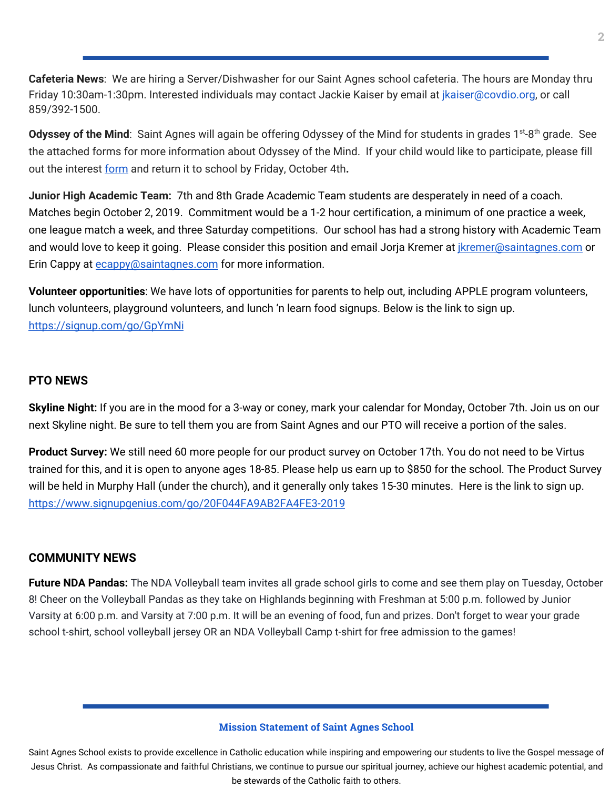**Cafeteria News**: We are hiring a Server/Dishwasher for our Saint Agnes school cafeteria. The hours are Monday thru Friday 10:30am-1:30pm. Interested individuals may contact Jackie Kaiser by email at jkaiser@covdio.org, or call 859/392-1500.

Odyssey of the Mind: Saint Agnes will again be offering Odyssey of the Mind for students in grades 1<sup>st</sup>-8<sup>th</sup> grade. See the attached forms for more information about Odyssey of the Mind. If your child would like to participate, please fill out the interest [form](http://newschool.saintagnes.com/wp-content/uploads/2019/09/2019-20-Odyssey-of-the-Mind-form.pdf) and return it to school by Friday, October 4th**.**

**Junior High Academic Team:** 7th and 8th Grade Academic Team students are desperately in need of a coach. Matches begin October 2, 2019. Commitment would be a 1-2 hour certification, a minimum of one practice a week, one league match a week, and three Saturday competitions. Our school has had a strong history with Academic Team and would love to keep it going. Please consider this position and email Jorja Kremer at *ikremer@saintagnes.com* or Erin Cappy at [ecappy@saintagnes.com](mailto:ecappy@saintagnes.com) for more information.

**Volunteer opportunities**: We have lots of opportunities for parents to help out, including APPLE program volunteers, lunch volunteers, playground volunteers, and lunch 'n learn food signups. Below is the link to sign up. <https://signup.com/go/GpYmNi>

### **PTO NEWS**

**Skyline Night:** If you are in the mood for a 3-way or coney, mark your calendar for Monday, October 7th. Join us on our next Skyline night. Be sure to tell them you are from Saint Agnes and our PTO will receive a portion of the sales.

**Product Survey:** We still need 60 more people for our product survey on October 17th. You do not need to be Virtus trained for this, and it is open to anyone ages 18-85. Please help us earn up to \$850 for the school. The Product Survey will be held in Murphy Hall (under the church), and it generally only takes 15-30 minutes. Here is the link to sign up. <https://www.signupgenius.com/go/20F044FA9AB2FA4FE3-2019>

### **COMMUNITY NEWS**

**Future NDA Pandas:** The NDA Volleyball team invites all grade school girls to come and see them play on Tuesday, October 8! Cheer on the Volleyball Pandas as they take on Highlands beginning with Freshman at 5:00 p.m. followed by Junior Varsity at 6:00 p.m. and Varsity at 7:00 p.m. It will be an evening of food, fun and prizes. Don't forget to wear your grade school t-shirt, school volleyball jersey OR an NDA Volleyball Camp t-shirt for free admission to the games!

#### **Mission Statement of Saint Agnes School**

Saint Agnes School exists to provide excellence in Catholic education while inspiring and empowering our students to live the Gospel message of Jesus Christ. As compassionate and faithful Christians, we continue to pursue our spiritual journey, achieve our highest academic potential, and be stewards of the Catholic faith to others.